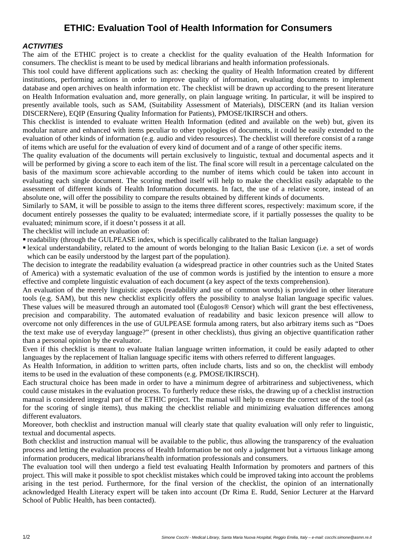# **ETHIC: Evaluation Tool of Health Information for Consumers**

#### *ACTIVITIES*

The aim of the ETHIC project is to create a checklist for the quality evaluation of the Health Information for consumers. The checklist is meant to be used by medical librarians and health information professionals.

This tool could have different applications such as: checking the quality of Health Information created by different institutions, performing actions in order to improve quality of information, evaluating documents to implement database and open archives on health information etc. The checklist will be drawn up according to the present literature on Health Information evaluation and, more generally, on plain language writing. In particular, it will be inspired to presently available tools, such as SAM, (Suitability Assessment of Materials), DISCERN (and its Italian version DISCERNere), EQIP (Ensuring Quality Information for Patients), PMOSE/IKIRSCH and others.

This checklist is intended to evaluate written Health Information (edited and available on the web) but, given its modular nature and enhanced with items peculiar to other typologies of documents, it could be easily extended to the evaluation of other kinds of information (e.g. audio and video resources). The checklist will therefore consist of a range of items which are useful for the evaluation of every kind of document and of a range of other specific items.

The quality evaluation of the documents will pertain exclusively to linguistic, textual and documental aspects and it will be performed by giving a score to each item of the list. The final score will result in a percentage calculated on the basis of the maximum score achievable according to the number of items which could be taken into account in evaluating each single document. The scoring method itself will help to make the checklist easily adaptable to the assessment of different kinds of Health Information documents. In fact, the use of a relative score, instead of an absolute one, will offer the possibility to compare the results obtained by different kinds of documents.

Similarly to SAM, it will be possible to assign to the items three different scores, respectively: maximum score, if the document entirely possesses the quality to be evaluated; intermediate score, if it partially possesses the quality to be evaluated; minimum score, if it doesn't possess it at all.

The checklist will include an evaluation of:

readability (through the GULPEASE index, which is specifically calibrated to the Italian language)

 lexical understandability, related to the amount of words belonging to the Italian Basic Lexicon (i.e. a set of words which can be easily understood by the largest part of the population).

The decision to integrate the readability evaluation (a widespread practice in other countries such as the United States of America) with a systematic evaluation of the use of common words is justified by the intention to ensure a more effective and complete linguistic evaluation of each document (a key aspect of the texts comprehension).

An evaluation of the merely linguistic aspects (readability and use of common words) is provided in other literature tools (e.g. SAM), but this new checklist explicitly offers the possibility to analyse Italian language specific values. These values will be measured through an automated tool (Èulogos® Censor) which will grant the best effectiveness, precision and comparability. The automated evaluation of readability and basic lexicon presence will allow to overcome not only differences in the use of GULPEASE formula among raters, but also arbitrary items such as "Does the text make use of everyday language?" (present in other checklists), thus giving an objective quantification rather than a personal opinion by the evaluator.

Even if this checklist is meant to evaluate Italian language written information, it could be easily adapted to other languages by the replacement of Italian language specific items with others referred to different languages.

As Health Information, in addition to written parts, often include charts, lists and so on, the checklist will embody items to be used in the evaluation of these components (e.g. PMOSE/IKIRSCH).

Each structural choice has been made in order to have a minimum degree of arbitrariness and subjectiveness, which could cause mistakes in the evaluation process. To furtherly reduce these risks, the drawing up of a checklist instruction manual is considered integral part of the ETHIC project. The manual will help to ensure the correct use of the tool (as for the scoring of single items), thus making the checklist reliable and minimizing evaluation differences among different evaluators.

Moreover, both checklist and instruction manual will clearly state that quality evaluation will only refer to linguistic, textual and documental aspects.

Both checklist and instruction manual will be available to the public, thus allowing the transparency of the evaluation process and letting the evaluation process of Health Information be not only a judgement but a virtuous linkage among information producers, medical librarians/health information professionals and consumers.

The evaluation tool will then undergo a field test evaluating Health Information by promoters and partners of this project. This will make it possible to spot checklist mistakes which could be improved taking into account the problems arising in the test period. Furthermore, for the final version of the checklist, the opinion of an internationally acknowledged Health Literacy expert will be taken into account (Dr Rima E. Rudd, Senior Lecturer at the Harvard School of Public Health, has been contacted).